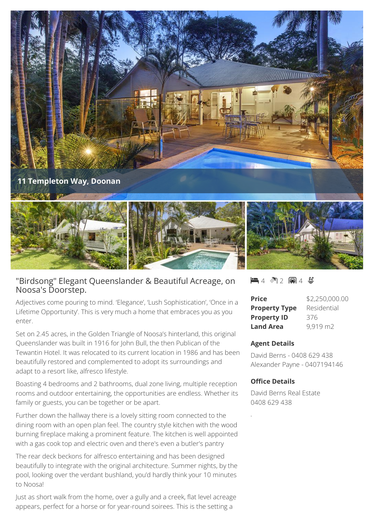

# "Birdsong" Elegant Queenslander & Beautiful Acreage, on Noosa's Doorstep.

Adjectives come pouring to mind. 'Elegance', 'Lush Sophistication', 'Once in a Lifetime Opportunity'. This is very much a home that embraces you as you enter.

Set on 2.45 acres, in the Golden Triangle of Noosa's hinterland, this original Queenslander was built in 1916 for John Bull, the then Publican of the Tewantin Hotel. It was relocated to its current location in 1986 and has been beautifully restored and complemented to adopt its surroundings and adapt to a resort like, alfresco lifestyle.

Boasting 4 bedrooms and 2 bathrooms, dual zone living, multiple reception rooms and outdoor entertaining, the opportunities are endless. Whether its family or guests, you can be together or be apart.

Further down the hallway there is a lovely sitting room connected to the dining room with an open plan feel. The country style kitchen with the wood burning fireplace making a prominent feature. The kitchen is well appointed with a gas cook top and electric oven and there's even a butler's pantry

The rear deck beckons for alfresco entertaining and has been designed beautifully to integrate with the original architecture. Summer nights, by the pool, looking over the verdant bushland, you'd hardly think your 10 minutes to Noosa!

Just as short walk from the home, over a gully and a creek, flat level acreage appears, perfect for a horse or for year-round soirees. This is the setting a

#### $-4$   $\sqrt[3]{2}$   $-4$   $\sqrt[3]{2}$

| <b>Price</b>         | \$2,250,000.00 |
|----------------------|----------------|
| <b>Property Type</b> | Residential    |
| <b>Property ID</b>   | 376            |
| <b>Land Area</b>     | 9,919 m2       |

#### **Agent Details**

David Berns - 0408 629 438 Alexander Payne - 0407194146

#### **Office Details**

David Berns Real Estate 0408 629 438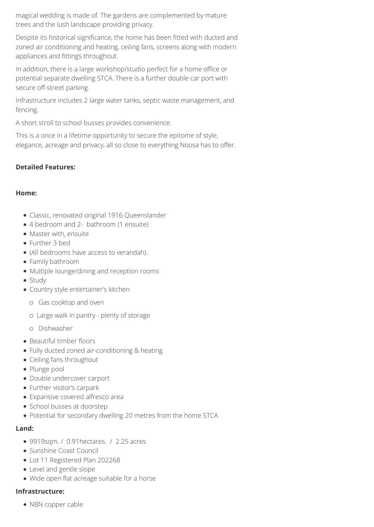magical wedding is made of. The gardens are complemented by mature trees and the lush landscape providing privacy.

Despite its historical significance, the home has been fitted with ducted and zoned air conditioning and heating, ceiling fans, screens along with modern appliances and fittings throughout.

In addition, there is a large workshop/studio perfect for a home office or potential separate dwelling STCA. There is a further double car port with secure off-street parking.

Infrastructure includes 2 large water tanks, septic waste management, and fencing.

A short stroll to school busses provides convenience.

This is a once in a lifetime opportunity to secure the epitome of style, elegance, acreage and privacy, all so close to everything Noosa has to offer.

## **Detailed Features:**

### **Home:**

- Classic, renovated original 1916 Queenslander
- 4 bedroom and 2- bathroom (1 ensuite)
- Master with, ensuite
- Further 3 bed
- (All bedrooms have access to verandah).
- Family bathroom
- Multiple lounge/dining and reception rooms
- Study
- Country style entertainer's kitchen
	- o Gas cooktop and oven
	- o Large walk in pantry plenty of storage
	- o Dishwasher
- Beautiful timber floors
- Fully ducted zoned air-conditioning & heating
- Ceiling fans throughout
- Plunge pool
- Double undercover carport
- Further visitor's carpark
- Expansive covered alfresco area
- School busses at doorstep
- Potential for secondary dwelling 20 metres from the home STCA

#### **Land:**

- 9919sqm. / 0.91 hectares. / 2.25 acres
- Sunshine Coast Council
- Lot 11 Registered Plan 202268
- Level and gentle slope
- Wide open flat acreage suitable for a horse

## **Infrastructure:**

• NBN copper cable